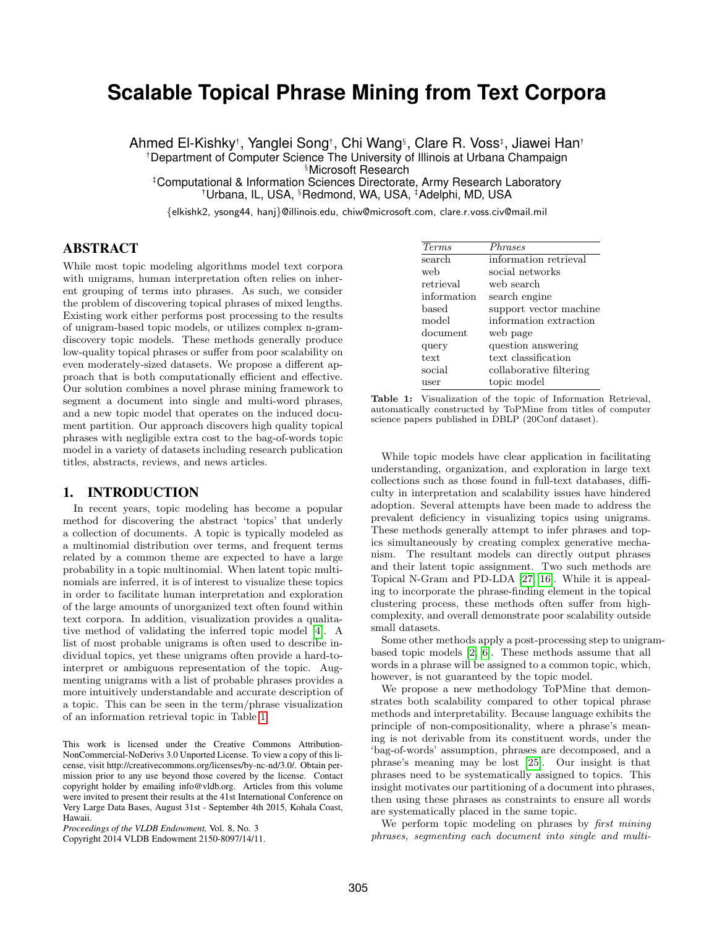# **Scalable Topical Phrase Mining from Text Corpora**

Ahmed El-Kishky†, Yanglei Song†, Chi Wang§, Clare R. Voss‡, Jiawei Han† :Department of Computer Science The University of Illinois at Urbana Champaign §Microsoft Research

;Computational & Information Sciences Directorate, Army Research Laboratory <sup>†</sup>Urbana, IL, USA, <sup>§</sup>Redmond, WA, USA, <sup>‡</sup>Adelphi, MD, USA

{elkishk2, ysong44, hanj}@illinois.edu, chiw@microsoft.com, clare.r.voss.civ@mail.mil

# ABSTRACT

While most topic modeling algorithms model text corpora with unigrams, human interpretation often relies on inherent grouping of terms into phrases. As such, we consider the problem of discovering topical phrases of mixed lengths. Existing work either performs post processing to the results of unigram-based topic models, or utilizes complex n-gramdiscovery topic models. These methods generally produce low-quality topical phrases or suffer from poor scalability on even moderately-sized datasets. We propose a different approach that is both computationally efficient and effective. Our solution combines a novel phrase mining framework to segment a document into single and multi-word phrases, and a new topic model that operates on the induced document partition. Our approach discovers high quality topical phrases with negligible extra cost to the bag-of-words topic model in a variety of datasets including research publication titles, abstracts, reviews, and news articles.

# 1. INTRODUCTION

In recent years, topic modeling has become a popular method for discovering the abstract 'topics' that underly a collection of documents. A topic is typically modeled as a multinomial distribution over terms, and frequent terms related by a common theme are expected to have a large probability in a topic multinomial. When latent topic multinomials are inferred, it is of interest to visualize these topics in order to facilitate human interpretation and exploration of the large amounts of unorganized text often found within text corpora. In addition, visualization provides a qualitative method of validating the inferred topic model [\[4\]](#page-11-0). A list of most probable unigrams is often used to describe individual topics, yet these unigrams often provide a hard-tointerpret or ambiguous representation of the topic. Augmenting unigrams with a list of probable phrases provides a more intuitively understandable and accurate description of a topic. This can be seen in the term/phrase visualization of an information retrieval topic in Table [1.](#page-0-0)

This work is licensed under the Creative Commons Attribution-NonCommercial-NoDerivs 3.0 Unported License. To view a copy of this license, visit http://creativecommons.org/licenses/by-nc-nd/3.0/. Obtain permission prior to any use beyond those covered by the license. Contact copyright holder by emailing info@vldb.org. Articles from this volume were invited to present their results at the 41st International Conference on Very Large Data Bases, August 31st - September 4th 2015, Kohala Coast, Hawaii.

*Proceedings of the VLDB Endowment,* Vol. 8, No. 3

Copyright 2014 VLDB Endowment 2150-8097/14/11.

<span id="page-0-0"></span>

| <i>Terms</i> | <i>Phrases</i>          |
|--------------|-------------------------|
| search       | information retrieval   |
| web          | social networks         |
| retrieval    | web search              |
| information  | search engine           |
| based        | support vector machine  |
| model        | information extraction  |
| document     | web page                |
| query        | question answering      |
| text.        | text classification     |
| social       | collaborative filtering |
| user         | topic model             |

Table 1: Visualization of the topic of Information Retrieval, automatically constructed by ToPMine from titles of computer science papers published in DBLP (20Conf dataset).

While topic models have clear application in facilitating understanding, organization, and exploration in large text collections such as those found in full-text databases, difficulty in interpretation and scalability issues have hindered adoption. Several attempts have been made to address the prevalent deficiency in visualizing topics using unigrams. These methods generally attempt to infer phrases and topics simultaneously by creating complex generative mechanism. The resultant models can directly output phrases and their latent topic assignment. Two such methods are Topical N-Gram and PD-LDA [\[27,](#page-11-1) [16\]](#page-11-2). While it is appealing to incorporate the phrase-finding element in the topical clustering process, these methods often suffer from highcomplexity, and overall demonstrate poor scalability outside small datasets.

Some other methods apply a post-processing step to unigrambased topic models [\[2,](#page-11-3) [6\]](#page-11-4). These methods assume that all words in a phrase will be assigned to a common topic, which, however, is not guaranteed by the topic model.

We propose a new methodology ToPMine that demonstrates both scalability compared to other topical phrase methods and interpretability. Because language exhibits the principle of non-compositionality, where a phrase's meaning is not derivable from its constituent words, under the 'bag-of-words' assumption, phrases are decomposed, and a phrase's meaning may be lost [\[25\]](#page-11-5). Our insight is that phrases need to be systematically assigned to topics. This insight motivates our partitioning of a document into phrases, then using these phrases as constraints to ensure all words are systematically placed in the same topic.

We perform topic modeling on phrases by *first mining* phrases, segmenting each document into single and multi-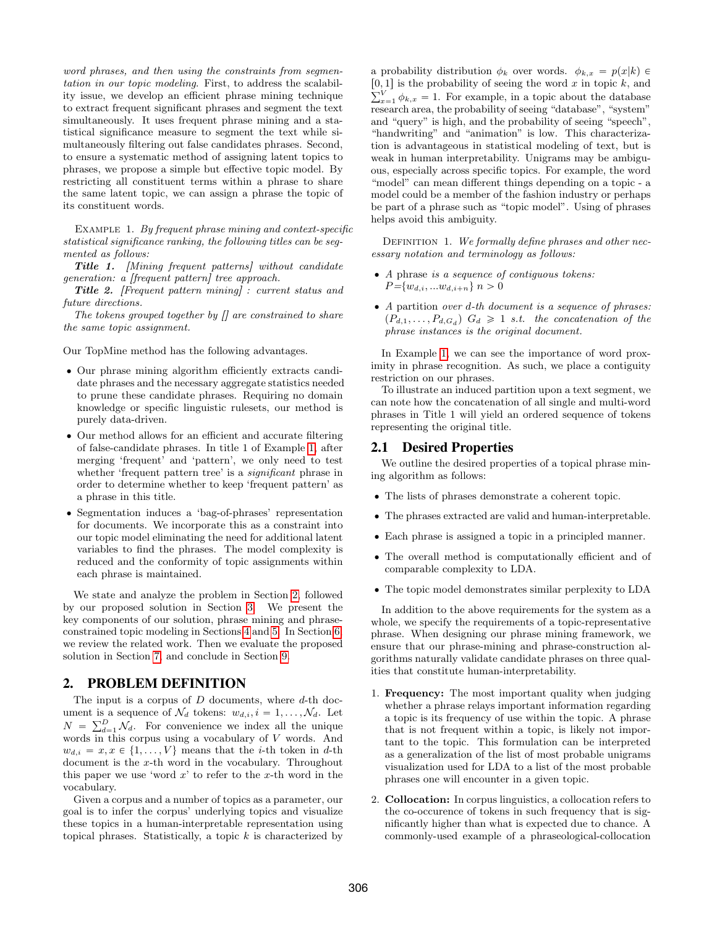word phrases, and then using the constraints from segmentation in our topic modeling. First, to address the scalability issue, we develop an efficient phrase mining technique to extract frequent significant phrases and segment the text simultaneously. It uses frequent phrase mining and a statistical significance measure to segment the text while simultaneously filtering out false candidates phrases. Second, to ensure a systematic method of assigning latent topics to phrases, we propose a simple but effective topic model. By restricting all constituent terms within a phrase to share the same latent topic, we can assign a phrase the topic of its constituent words.

<span id="page-1-0"></span>EXAMPLE 1. By frequent phrase mining and context-specific statistical significance ranking, the following titles can be segmented as follows:

Title 1. [Mining frequent patterns] without candidate generation: a [frequent pattern] tree approach.

Title 2. [Frequent pattern mining] : current status and future directions.

The tokens grouped together by  $\iint$  are constrained to share the same topic assignment.

Our TopMine method has the following advantages.

- ' Our phrase mining algorithm efficiently extracts candidate phrases and the necessary aggregate statistics needed to prune these candidate phrases. Requiring no domain knowledge or specific linguistic rulesets, our method is purely data-driven.
- ' Our method allows for an efficient and accurate filtering of false-candidate phrases. In title 1 of Example [1,](#page-1-0) after merging 'frequent' and 'pattern', we only need to test whether 'frequent pattern tree' is a *significant* phrase in order to determine whether to keep 'frequent pattern' as a phrase in this title.
- ' Segmentation induces a 'bag-of-phrases' representation for documents. We incorporate this as a constraint into our topic model eliminating the need for additional latent variables to find the phrases. The model complexity is reduced and the conformity of topic assignments within each phrase is maintained.

We state and analyze the problem in Section [2,](#page-1-1) followed by our proposed solution in Section [3.](#page-2-0) We present the key components of our solution, phrase mining and phraseconstrained topic modeling in Sections [4](#page-2-1) and [5.](#page-4-0) In Section [6,](#page-6-0) we review the related work. Then we evaluate the proposed solution in Section [7,](#page-6-1) and conclude in Section [9.](#page-9-0)

# <span id="page-1-1"></span>2. PROBLEM DEFINITION

The input is a corpus of  $D$  documents, where  $d$ -th document is a sequence of  $\mathcal{N}_d$  tokens:  $w_{d,i}, i = 1, \ldots, \mathcal{N}_d$ . Let ument is a sequence of  $N_d$  tokens:  $w_{d,i}$ ,  $i = 1, ..., N_d$ . Let  $N = \sum_{d=1}^{D} N_d$ . For convenience we index all the unique words in this corpus using a vocabulary of V words. And  $w_{d,i} = x, x \in \{1, ..., V\}$  means that the *i*-th token in d-th document is the x-th word in the vocabulary. Throughout this paper we use 'word  $x$ ' to refer to the x-th word in the vocabulary.

Given a corpus and a number of topics as a parameter, our goal is to infer the corpus' underlying topics and visualize these topics in a human-interpretable representation using topical phrases. Statistically, a topic  $k$  is characterized by

a probability distribution  $\phi_k$  over words.  $\phi_{k,x} = p(x|k) \in$  $[0, 1]$  is the probability of seeing the word x in topic k, and  $\sum_{k=1}^{V}$  $\sum_{x=1}^{V} \phi_{k,x} = 1$ . For example, in a topic about the database research area, the probability of seeing "database", "system" and "query" is high, and the probability of seeing "speech", "handwriting" and "animation" is low. This characterization is advantageous in statistical modeling of text, but is weak in human interpretability. Unigrams may be ambiguous, especially across specific topics. For example, the word "model" can mean different things depending on a topic - a model could be a member of the fashion industry or perhaps be part of a phrase such as "topic model". Using of phrases helps avoid this ambiguity.

DEFINITION 1. We formally define phrases and other necessary notation and terminology as follows:

- ' A phrase is a sequence of contiguous tokens:  $P=\{w_{d,i},...w_{d,i+n}\}\;n>0$
- $\bullet$  A partition over d-th document is a sequence of phrases:  $(P_{d,1}, \ldots, P_{d,G_d})$   $G_d \geq 1$  s.t. the concatenation of the phrase instances is the original document.

In Example [1,](#page-1-0) we can see the importance of word proximity in phrase recognition. As such, we place a contiguity restriction on our phrases.

To illustrate an induced partition upon a text segment, we can note how the concatenation of all single and multi-word phrases in Title 1 will yield an ordered sequence of tokens representing the original title.

## 2.1 Desired Properties

We outline the desired properties of a topical phrase mining algorithm as follows:

- ' The lists of phrases demonstrate a coherent topic.
- ' The phrases extracted are valid and human-interpretable.
- ' Each phrase is assigned a topic in a principled manner.
- ' The overall method is computationally efficient and of comparable complexity to LDA.
- ' The topic model demonstrates similar perplexity to LDA

In addition to the above requirements for the system as a whole, we specify the requirements of a topic-representative phrase. When designing our phrase mining framework, we ensure that our phrase-mining and phrase-construction algorithms naturally validate candidate phrases on three qualities that constitute human-interpretability.

- 1. Frequency: The most important quality when judging whether a phrase relays important information regarding a topic is its frequency of use within the topic. A phrase that is not frequent within a topic, is likely not important to the topic. This formulation can be interpreted as a generalization of the list of most probable unigrams visualization used for LDA to a list of the most probable phrases one will encounter in a given topic.
- 2. Collocation: In corpus linguistics, a collocation refers to the co-occurence of tokens in such frequency that is significantly higher than what is expected due to chance. A commonly-used example of a phraseological-collocation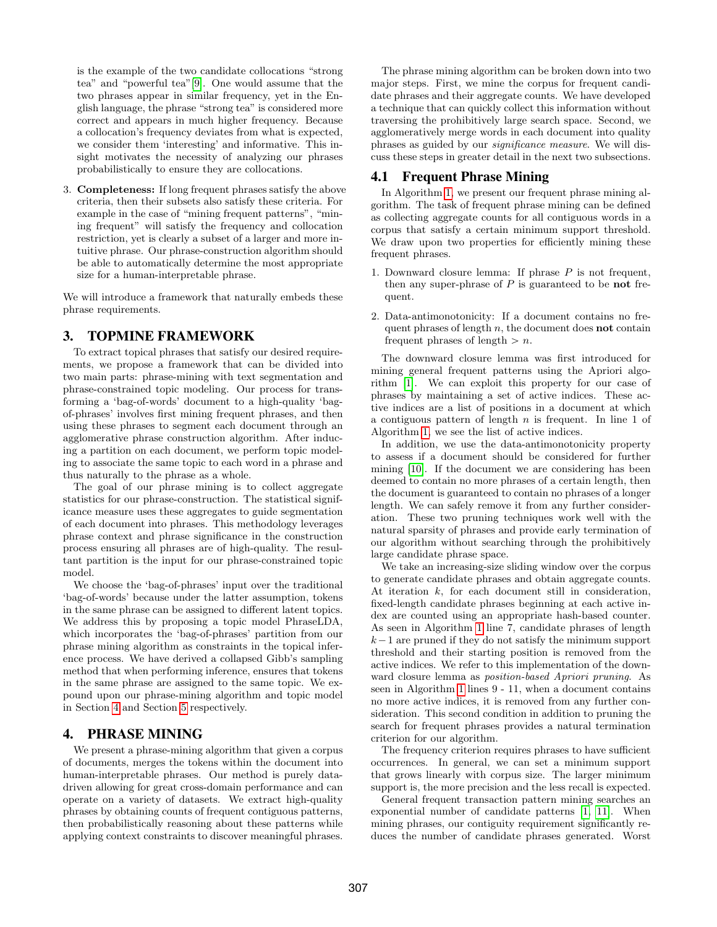is the example of the two candidate collocations "strong tea" and "powerful tea"[\[9\]](#page-11-6). One would assume that the two phrases appear in similar frequency, yet in the English language, the phrase "strong tea" is considered more correct and appears in much higher frequency. Because a collocation's frequency deviates from what is expected, we consider them 'interesting' and informative. This insight motivates the necessity of analyzing our phrases probabilistically to ensure they are collocations.

3. Completeness: If long frequent phrases satisfy the above criteria, then their subsets also satisfy these criteria. For example in the case of "mining frequent patterns", "mining frequent" will satisfy the frequency and collocation restriction, yet is clearly a subset of a larger and more intuitive phrase. Our phrase-construction algorithm should be able to automatically determine the most appropriate size for a human-interpretable phrase.

We will introduce a framework that naturally embeds these phrase requirements.

# <span id="page-2-0"></span>3. TOPMINE FRAMEWORK

To extract topical phrases that satisfy our desired requirements, we propose a framework that can be divided into two main parts: phrase-mining with text segmentation and phrase-constrained topic modeling. Our process for transforming a 'bag-of-words' document to a high-quality 'bagof-phrases' involves first mining frequent phrases, and then using these phrases to segment each document through an agglomerative phrase construction algorithm. After inducing a partition on each document, we perform topic modeling to associate the same topic to each word in a phrase and thus naturally to the phrase as a whole.

The goal of our phrase mining is to collect aggregate statistics for our phrase-construction. The statistical significance measure uses these aggregates to guide segmentation of each document into phrases. This methodology leverages phrase context and phrase significance in the construction process ensuring all phrases are of high-quality. The resultant partition is the input for our phrase-constrained topic model.

We choose the 'bag-of-phrases' input over the traditional 'bag-of-words' because under the latter assumption, tokens in the same phrase can be assigned to different latent topics. We address this by proposing a topic model PhraseLDA, which incorporates the 'bag-of-phrases' partition from our phrase mining algorithm as constraints in the topical inference process. We have derived a collapsed Gibb's sampling method that when performing inference, ensures that tokens in the same phrase are assigned to the same topic. We expound upon our phrase-mining algorithm and topic model in Section [4](#page-2-1) and Section [5](#page-4-0) respectively.

# <span id="page-2-1"></span>4. PHRASE MINING

We present a phrase-mining algorithm that given a corpus of documents, merges the tokens within the document into human-interpretable phrases. Our method is purely datadriven allowing for great cross-domain performance and can operate on a variety of datasets. We extract high-quality phrases by obtaining counts of frequent contiguous patterns, then probabilistically reasoning about these patterns while applying context constraints to discover meaningful phrases.

The phrase mining algorithm can be broken down into two major steps. First, we mine the corpus for frequent candidate phrases and their aggregate counts. We have developed a technique that can quickly collect this information without traversing the prohibitively large search space. Second, we agglomeratively merge words in each document into quality phrases as guided by our significance measure. We will discuss these steps in greater detail in the next two subsections.

# 4.1 Frequent Phrase Mining

In Algorithm [1,](#page-3-0) we present our frequent phrase mining algorithm. The task of frequent phrase mining can be defined as collecting aggregate counts for all contiguous words in a corpus that satisfy a certain minimum support threshold. We draw upon two properties for efficiently mining these frequent phrases.

- 1. Downward closure lemma: If phrase  $P$  is not frequent, then any super-phrase of  $P$  is guaranteed to be **not** frequent.
- 2. Data-antimonotonicity: If a document contains no frequent phrases of length  $n$ , the document does **not** contain frequent phrases of length  $> n$ .

The downward closure lemma was first introduced for mining general frequent patterns using the Apriori algorithm [\[1\]](#page-11-7). We can exploit this property for our case of phrases by maintaining a set of active indices. These active indices are a list of positions in a document at which a contiguous pattern of length  $n$  is frequent. In line 1 of Algorithm [1,](#page-3-0) we see the list of active indices.

In addition, we use the data-antimonotonicity property to assess if a document should be considered for further mining [\[10\]](#page-11-8). If the document we are considering has been deemed to contain no more phrases of a certain length, then the document is guaranteed to contain no phrases of a longer length. We can safely remove it from any further consideration. These two pruning techniques work well with the natural sparsity of phrases and provide early termination of our algorithm without searching through the prohibitively large candidate phrase space.

We take an increasing-size sliding window over the corpus to generate candidate phrases and obtain aggregate counts. At iteration k, for each document still in consideration, fixed-length candidate phrases beginning at each active index are counted using an appropriate hash-based counter. As seen in Algorithm [1](#page-3-0) line 7, candidate phrases of length  $k-1$  are pruned if they do not satisfy the minimum support threshold and their starting position is removed from the active indices. We refer to this implementation of the downward closure lemma as position-based Apriori pruning. As seen in Algorithm [1](#page-3-0) lines 9 - 11, when a document contains no more active indices, it is removed from any further consideration. This second condition in addition to pruning the search for frequent phrases provides a natural termination criterion for our algorithm.

The frequency criterion requires phrases to have sufficient occurrences. In general, we can set a minimum support that grows linearly with corpus size. The larger minimum support is, the more precision and the less recall is expected.

General frequent transaction pattern mining searches an exponential number of candidate patterns [\[1,](#page-11-7) [11\]](#page-11-9). When mining phrases, our contiguity requirement significantly reduces the number of candidate phrases generated. Worst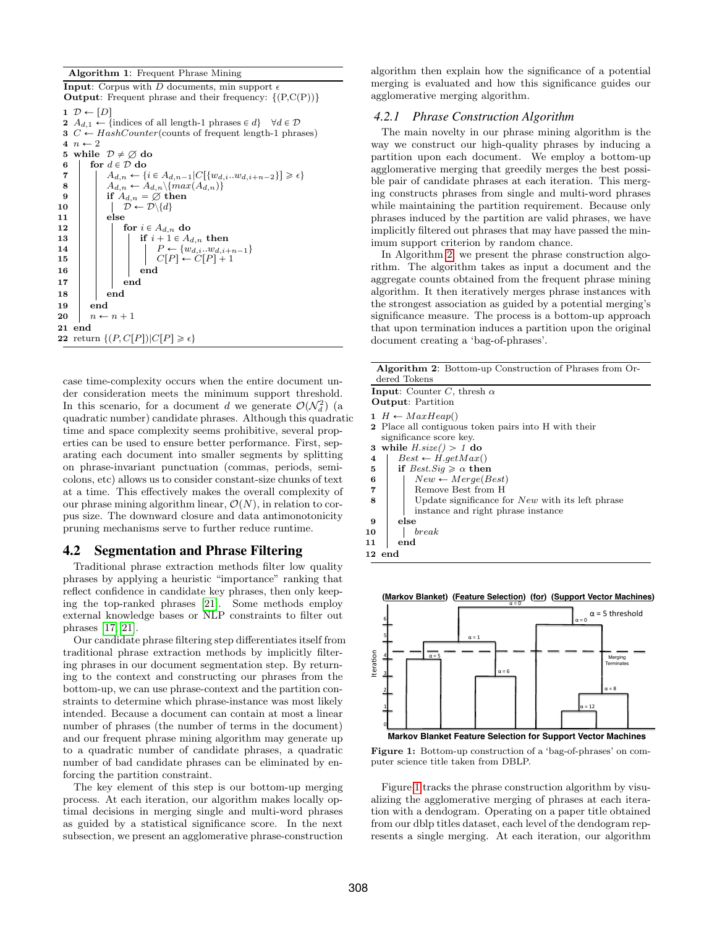#### <span id="page-3-0"></span>Algorithm 1: Frequent Phrase Mining

```
Input: Corpus with D documents, min support \epsilonOutput: Frequent phrase and their frequency: \{(P,C(P))\}1 \mathcal{D} \leftarrow [D]2 A_{d,1} \leftarrow \{\text{indices of all length-1 phrases} \in d\} \quad \forall d \in \mathcal{D}3 C \leftarrow HashCounter(counts of frequent length-1 phrases)
  4 n \leftarrow 2<br>5 while
  5 while \mathcal{D} \neq \emptyset do<br>6 \vdash for d \in \mathcal{D} do
            for d \in \mathcal{D} do
  \begin{array}{c}\n7 \\
8 \\
\end{array}\n\left\{\n\begin{array}{c}\nA_{d,n} \leftarrow \{i \in A_{d,n-1} | C[\{w_{d,i} ... w_{d,i+n-2}\}] \geq \epsilon\} \\
A_{d,n} \leftarrow A_{d,n} \{max(A_{d,n})\}\n\end{array}\n\right\}8 \operatorname{A}_{d,n} \leftarrow A_{d,n} \setminus \{ \max(A_{d,n}) \}9 \quad | \quad | \quad \text{if} \; A_{d,n} = \varnothing \; \text{then}10 |\quad| \quad \mathcal{D} \leftarrow \mathcal{D} \setminus \{d\}11 else
12 | | for i \in A_{d,n} do
13 if i + 1 \in A_{d,n} then<br>
14 if i + 1 \in A_{d,n} then<br>
P \leftarrow \{w_{d,i} ... w_{d,i+1}\}14 \vert \vert \vert \vert \vert P \leftarrow \{w_{d,i} ... w_{d,i+n-1}\}<br>15 \vert \vert \vert \vert \vert P \leftarrow C[P] + 1C[P] \leftarrow C[P]+116 | | | | end
17 \mid \cdot \cdot \cdot \cdot end
18 end
19 end
20 n \leftarrow n + 121 end
22 return \{(P, C[P]) | C[P] \geq \epsilon\}
```
case time-complexity occurs when the entire document under consideration meets the minimum support threshold. In this scenario, for a document d we generate  $\mathcal{O}(\mathcal{N}_d^2)$  (a quadratic number) candidate phrases. Although this quadratic time and space complexity seems prohibitive, several properties can be used to ensure better performance. First, separating each document into smaller segments by splitting on phrase-invariant punctuation (commas, periods, semicolons, etc) allows us to consider constant-size chunks of text at a time. This effectively makes the overall complexity of our phrase mining algorithm linear,  $\mathcal{O}(N)$ , in relation to corpus size. The downward closure and data antimonotonicity pruning mechanisms serve to further reduce runtime.

# 4.2 Segmentation and Phrase Filtering

Traditional phrase extraction methods filter low quality phrases by applying a heuristic "importance" ranking that reflect confidence in candidate key phrases, then only keeping the top-ranked phrases [\[21\]](#page-11-10). Some methods employ external knowledge bases or NLP constraints to filter out phrases [\[17,](#page-11-11) [21\]](#page-11-10).

Our candidate phrase filtering step differentiates itself from traditional phrase extraction methods by implicitly filtering phrases in our document segmentation step. By returning to the context and constructing our phrases from the bottom-up, we can use phrase-context and the partition constraints to determine which phrase-instance was most likely intended. Because a document can contain at most a linear number of phrases (the number of terms in the document) and our frequent phrase mining algorithm may generate up to a quadratic number of candidate phrases, a quadratic number of bad candidate phrases can be eliminated by enforcing the partition constraint.

The key element of this step is our bottom-up merging process. At each iteration, our algorithm makes locally optimal decisions in merging single and multi-word phrases as guided by a statistical significance score. In the next subsection, we present an agglomerative phrase-construction algorithm then explain how the significance of a potential merging is evaluated and how this significance guides our agglomerative merging algorithm.

#### *4.2.1 Phrase Construction Algorithm*

The main novelty in our phrase mining algorithm is the way we construct our high-quality phrases by inducing a partition upon each document. We employ a bottom-up agglomerative merging that greedily merges the best possible pair of candidate phrases at each iteration. This merging constructs phrases from single and multi-word phrases while maintaining the partition requirement. Because only phrases induced by the partition are valid phrases, we have implicitly filtered out phrases that may have passed the minimum support criterion by random chance.

In Algorithm [2,](#page-3-1) we present the phrase construction algorithm. The algorithm takes as input a document and the aggregate counts obtained from the frequent phrase mining algorithm. It then iteratively merges phrase instances with the strongest association as guided by a potential merging's significance measure. The process is a bottom-up approach that upon termination induces a partition upon the original document creating a 'bag-of-phrases'.

<span id="page-3-1"></span>

| <b>Algorithm 2:</b> Bottom-up Construction of Phrases from Or-<br>dered Tokens                                       |  |  |  |  |
|----------------------------------------------------------------------------------------------------------------------|--|--|--|--|
| <b>Input:</b> Counter C, thresh $\alpha$<br><b>Output:</b> Partition                                                 |  |  |  |  |
| $1 H \leftarrow MaxHeap()$<br><b>2</b> Place all contiguous token pairs into H with their<br>significance score key. |  |  |  |  |
| while $H.size() > 1$ do<br>3                                                                                         |  |  |  |  |
| $Best \leftarrow H.getMax()$<br>4                                                                                    |  |  |  |  |
| if $Best.Siq \geq \alpha$ then<br>5                                                                                  |  |  |  |  |
| $New \leftarrow Merge(Best)$<br>6                                                                                    |  |  |  |  |
| Remove Best from H<br>7                                                                                              |  |  |  |  |
| Update significance for $New$ with its left phrase<br>8                                                              |  |  |  |  |
| instance and right phrase instance                                                                                   |  |  |  |  |
| else<br>9                                                                                                            |  |  |  |  |
| break<br>10                                                                                                          |  |  |  |  |
| end<br>11                                                                                                            |  |  |  |  |
| 12 end                                                                                                               |  |  |  |  |
|                                                                                                                      |  |  |  |  |

<span id="page-3-2"></span>**(Markov Blanket) (Feature Selection) (for) (Support Vector Machines)** 



Figure 1: Bottom-up construction of a 'bag-of-phrases' on computer science title taken from DBLP.

Figure [1](#page-3-2) tracks the phrase construction algorithm by visualizing the agglomerative merging of phrases at each iteration with a dendogram. Operating on a paper title obtained from our dblp titles dataset, each level of the dendogram represents a single merging. At each iteration, our algorithm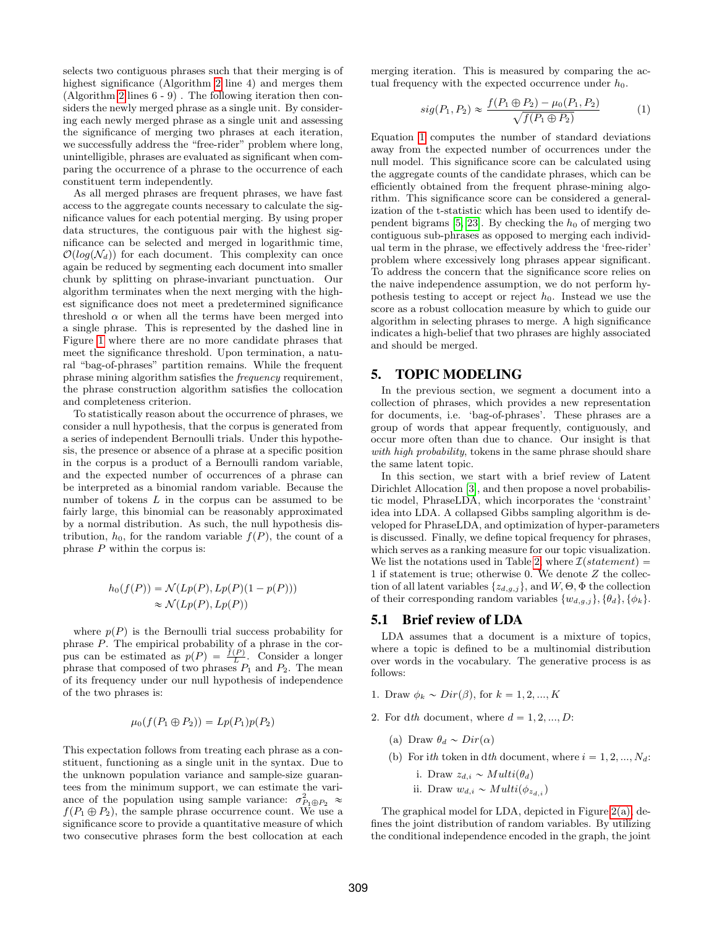selects two contiguous phrases such that their merging is of highest significance (Algorithm [2](#page-3-1) line 4) and merges them (Algorithm [2](#page-3-1) lines 6 - 9) . The following iteration then considers the newly merged phrase as a single unit. By considering each newly merged phrase as a single unit and assessing the significance of merging two phrases at each iteration, we successfully address the "free-rider" problem where long, unintelligible, phrases are evaluated as significant when comparing the occurrence of a phrase to the occurrence of each constituent term independently.

As all merged phrases are frequent phrases, we have fast access to the aggregate counts necessary to calculate the significance values for each potential merging. By using proper data structures, the contiguous pair with the highest significance can be selected and merged in logarithmic time,  $\mathcal{O}(log(\mathcal{N}_d))$  for each document. This complexity can once again be reduced by segmenting each document into smaller chunk by splitting on phrase-invariant punctuation. Our algorithm terminates when the next merging with the highest significance does not meet a predetermined significance threshold  $\alpha$  or when all the terms have been merged into a single phrase. This is represented by the dashed line in Figure [1](#page-3-2) where there are no more candidate phrases that meet the significance threshold. Upon termination, a natural "bag-of-phrases" partition remains. While the frequent phrase mining algorithm satisfies the frequency requirement, the phrase construction algorithm satisfies the collocation and completeness criterion.

To statistically reason about the occurrence of phrases, we consider a null hypothesis, that the corpus is generated from a series of independent Bernoulli trials. Under this hypothesis, the presence or absence of a phrase at a specific position in the corpus is a product of a Bernoulli random variable, and the expected number of occurrences of a phrase can be interpreted as a binomial random variable. Because the number of tokens L in the corpus can be assumed to be fairly large, this binomial can be reasonably approximated by a normal distribution. As such, the null hypothesis distribution,  $h_0$ , for the random variable  $f(P)$ , the count of a phrase  $P$  within the corpus is:

$$
h_0(f(P)) = \mathcal{N}(Lp(P), Lp(P)(1 - p(P)))
$$
  
 
$$
\approx \mathcal{N}(Lp(P), Lp(P))
$$

where  $p(P)$  is the Bernoulli trial success probability for phrase P. The empirical probability of a phrase in the corpus can be estimated as  $p(P) = \frac{f(P)}{L}$ . Consider a longer phrase that composed of two phrases  $P_1$  and  $P_2$ . The mean of its frequency under our null hypothesis of independence of the two phrases is:

$$
\mu_0(f(P_1 \oplus P_2)) = Lp(P_1)p(P_2)
$$

This expectation follows from treating each phrase as a constituent, functioning as a single unit in the syntax. Due to the unknown population variance and sample-size guarantees from the minimum support, we can estimate the variance of the population using sample variance:  $\sigma_{P_1 \oplus P_2}^2 \approx$  $f(P_1 \oplus P_2)$ , the sample phrase occurrence count. We use a significance score to provide a quantitative measure of which two consecutive phrases form the best collocation at each merging iteration. This is measured by comparing the actual frequency with the expected occurrence under  $h_0$ .

<span id="page-4-1"></span>
$$
sig(P_1, P_2) \approx \frac{f(P_1 \oplus P_2) - \mu_0(P_1, P_2)}{\sqrt{f(P_1 \oplus P_2)}}\tag{1}
$$

Equation [1](#page-4-1) computes the number of standard deviations away from the expected number of occurrences under the null model. This significance score can be calculated using the aggregate counts of the candidate phrases, which can be efficiently obtained from the frequent phrase-mining algorithm. This significance score can be considered a generalization of the t-statistic which has been used to identify de-pendent bigrams [\[5,](#page-11-12) [23\]](#page-11-13). By checking the  $h_0$  of merging two contiguous sub-phrases as opposed to merging each individual term in the phrase, we effectively address the 'free-rider' problem where excessively long phrases appear significant. To address the concern that the significance score relies on the naive independence assumption, we do not perform hypothesis testing to accept or reject  $h_0$ . Instead we use the score as a robust collocation measure by which to guide our algorithm in selecting phrases to merge. A high significance indicates a high-belief that two phrases are highly associated and should be merged.

# <span id="page-4-0"></span>5. TOPIC MODELING

In the previous section, we segment a document into a collection of phrases, which provides a new representation for documents, i.e. 'bag-of-phrases'. These phrases are a group of words that appear frequently, contiguously, and occur more often than due to chance. Our insight is that with high probability, tokens in the same phrase should share the same latent topic.

In this section, we start with a brief review of Latent Dirichlet Allocation [\[3\]](#page-11-14), and then propose a novel probabilistic model, PhraseLDA, which incorporates the 'constraint' idea into LDA. A collapsed Gibbs sampling algorithm is developed for PhraseLDA, and optimization of hyper-parameters is discussed. Finally, we define topical frequency for phrases, which serves as a ranking measure for our topic visualization. We list the notations used in Table [2,](#page-5-0) where  $\mathcal{I}(statement) =$ 1 if statement is true; otherwise 0. We denote Z the collection of all latent variables  $\{z_{d,q,j}\}\$ , and  $W$ ,  $\Theta$ ,  $\Phi$  the collection of their corresponding random variables  $\{w_{d,q,j}\}, \{\theta_d\}, \{\phi_k\}.$ 

#### 5.1 Brief review of LDA

LDA assumes that a document is a mixture of topics, where a topic is defined to be a multinomial distribution over words in the vocabulary. The generative process is as follows:

- 1. Draw  $\phi_k \sim Dir(\beta)$ , for  $k = 1, 2, ..., K$
- 2. For dth document, where  $d = 1, 2, ..., D$ :
	- (a) Draw  $\theta_d \sim Dir(\alpha)$
	- (b) For ith token in dth document, where  $i = 1, 2, ..., N_d$ :
		- i. Draw  $z_{d,i} \sim Multi(\theta_d)$
		- ii. Draw  $w_{d,i} \sim Multi(\phi_{z_{d,i}})$

The graphical model for LDA, depicted in Figure [2\(a\),](#page-5-1) defines the joint distribution of random variables. By utilizing the conditional independence encoded in the graph, the joint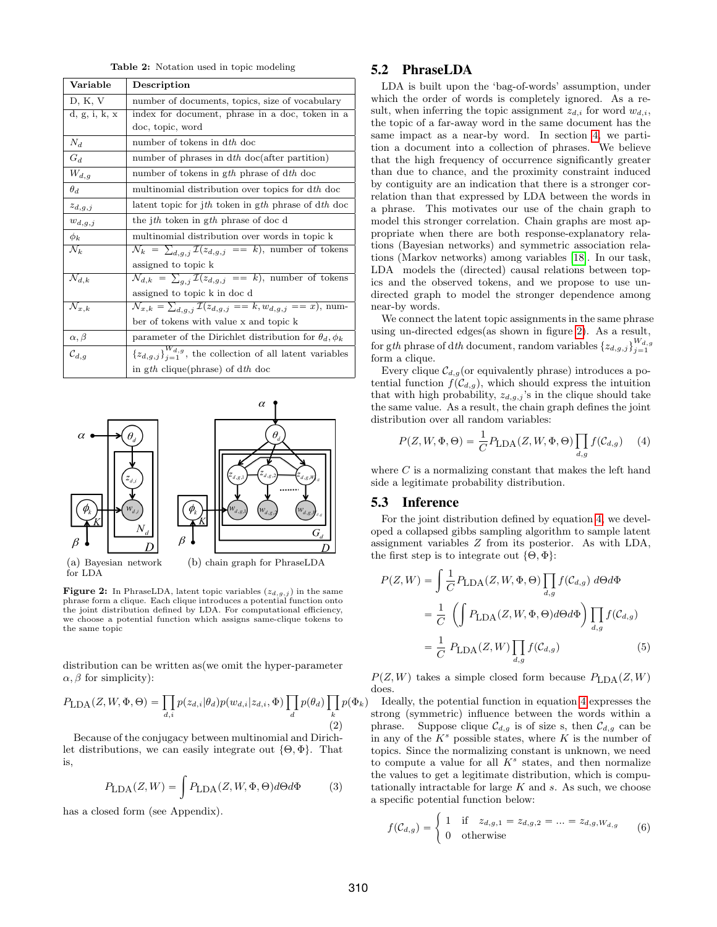Table 2: Notation used in topic modeling

<span id="page-5-0"></span>

| Variable                       | Description                                                                                     |
|--------------------------------|-------------------------------------------------------------------------------------------------|
| D, K, V                        | number of documents, topics, size of vocabulary                                                 |
| d, g, i, k, x                  | index for document, phrase in a doc, token in a                                                 |
|                                | doc, topic, word                                                                                |
| $N_d$                          | number of tokens in dth doc                                                                     |
| $G_d$                          | number of phrases in dth doc(after partition)                                                   |
| $W_{d,g}$                      | number of tokens in gth phrase of dth doc                                                       |
| $\theta_d$                     | multinomial distribution over topics for dth doc                                                |
| $z_{d,g,j}$                    | latent topic for jth token in gth phrase of dth doc                                             |
| $w_{d,g,j}$                    | the jth token in gth phrase of doc d                                                            |
| $\phi_k$                       | multinomial distribution over words in topic k                                                  |
| $\mathcal{N}_k$                | $\mathcal{N}_k = \sum_{d,q,j} \mathcal{I}(z_{d,g,j} == k)$ , number of tokens                   |
|                                | assigned to topic k                                                                             |
| $\mathcal{N}_{d,k}$            | $\overline{\mathcal{N}}_{d,k} = \sum_{q,j} \mathcal{I}(z_{d,g,j} == k)$ , number of tokens      |
|                                | assigned to topic k in doc d                                                                    |
| $\overline{\mathcal{N}}_{x,k}$ | $\overline{\mathcal{N}}_{x,k} = \sum_{d,g,j} \mathcal{I}(z_{d,g,j} == k, w_{d,g,j} == x),$ num- |
|                                | ber of tokens with value x and topic k                                                          |
| $\alpha, \beta$                | parameter of the Dirichlet distribution for $\theta_d, \phi_k$                                  |
| $\mathcal{C}_{d,g}$            | ${z_{d,g,j}}_{i=1}^{W_{d,g}}$ , the collection of all latent variables                          |
|                                | in gth clique(phrase) of dth doc                                                                |

<span id="page-5-2"></span><span id="page-5-1"></span>

**Figure 2:** In PhraseLDA, latent topic variables  $(z_{d,g,j})$  in the same phrase form a clique. Each clique introduces a potential function onto the joint distribution defined by LDA. For computational efficiency, we choose a potential function which assigns same-clique tokens to the same topic

distribution can be written as(we omit the hyper-parameter  $\alpha$ ,  $\beta$  for simplicity):

$$
P_{\text{LDA}}(Z, W, \Phi, \Theta) = \prod_{d,i} p(z_{d,i} | \theta_d) p(w_{d,i} | z_{d,i}, \Phi) \prod_d p(\theta_d) \prod_k p(\Phi_k)
$$
\n(2)

Because of the conjugacy between multinomial and Dirichlet distributions, we can easily integrate out  $\{\Theta, \Phi\}$ . That is,

$$
P_{\text{LDA}}(Z,W) = \int P_{\text{LDA}}(Z,W,\Phi,\Theta)d\Theta d\Phi \tag{3}
$$

has a closed form (see Appendix).

# 5.2 PhraseLDA

LDA is built upon the 'bag-of-words' assumption, under which the order of words is completely ignored. As a result, when inferring the topic assignment  $z_{d,i}$  for word  $w_{d,i}$ , the topic of a far-away word in the same document has the same impact as a near-by word. In section [4,](#page-2-1) we partition a document into a collection of phrases. We believe that the high frequency of occurrence significantly greater than due to chance, and the proximity constraint induced by contiguity are an indication that there is a stronger correlation than that expressed by LDA between the words in a phrase. This motivates our use of the chain graph to model this stronger correlation. Chain graphs are most appropriate when there are both response-explanatory relations (Bayesian networks) and symmetric association relations (Markov networks) among variables [\[18\]](#page-11-15). In our task, LDA models the (directed) causal relations between topics and the observed tokens, and we propose to use undirected graph to model the stronger dependence among near-by words.

We connect the latent topic assignments in the same phrase using un-directed edges(as shown in figure [2\)](#page-5-2). As a result, for gth phrase of dth document, random variables  $\{z_{d,g,j}\}_{j=1}^{W_{d,g}}$ form a clique.

Every clique  $\mathcal{C}_{d,g}$  (or equivalently phrase) introduces a potential function  $f(\mathcal{C}_{d,g})$ , which should express the intuition that with high probability,  $z_{d,g,j}$ 's in the clique should take the same value. As a result, the chain graph defines the joint distribution over all random variables:

<span id="page-5-3"></span>
$$
P(Z, W, \Phi, \Theta) = \frac{1}{C} P_{\text{LDA}}(Z, W, \Phi, \Theta) \prod_{d,g} f(\mathcal{C}_{d,g}) \quad (4)
$$

where  $C$  is a normalizing constant that makes the left hand side a legitimate probability distribution.

#### <span id="page-5-5"></span>5.3 Inference

For the joint distribution defined by equation [4,](#page-5-3) we developed a collapsed gibbs sampling algorithm to sample latent assignment variables Z from its posterior. As with LDA, the first step is to integrate out  $\{\Theta, \Phi\}$ :

<span id="page-5-6"></span>
$$
P(Z, W) = \int \frac{1}{C} P_{\text{LDA}}(Z, W, \Phi, \Theta) \prod_{d,g} f(C_{d,g}) d\Theta d\Phi
$$
  
= 
$$
\frac{1}{C} \left( \int P_{\text{LDA}}(Z, W, \Phi, \Theta) d\Theta d\Phi \right) \prod_{d,g} f(C_{d,g})
$$
  
= 
$$
\frac{1}{C} P_{\text{LDA}}(Z, W) \prod_{d,g} f(C_{d,g})
$$
(5)

 $P(Z, W)$  takes a simple closed form because  $P_{\text{LDA}}(Z, W)$ does.

Ideally, the potential function in equation [4](#page-5-3) expresses the strong (symmetric) influence between the words within a phrase. Suppose clique  $\mathcal{C}_{d,g}$  is of size s, then  $\mathcal{C}_{d,g}$  can be in any of the  $K^s$  possible states, where K is the number of topics. Since the normalizing constant is unknown, we need to compute a value for all  $K^s$  states, and then normalize the values to get a legitimate distribution, which is computationally intractable for large  $K$  and  $s$ . As such, we choose a specific potential function below:

<span id="page-5-4"></span>
$$
f(C_{d,g}) = \begin{cases} 1 & \text{if } z_{d,g,1} = z_{d,g,2} = ... = z_{d,g,W_{d,g}} \\ 0 & \text{otherwise} \end{cases}
$$
 (6)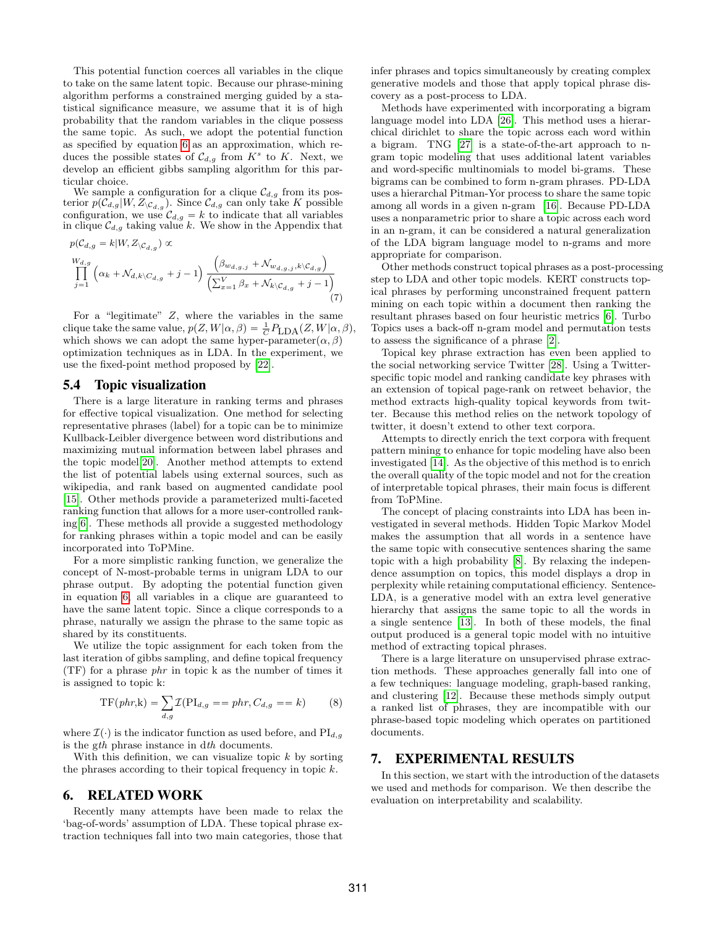This potential function coerces all variables in the clique to take on the same latent topic. Because our phrase-mining algorithm performs a constrained merging guided by a statistical significance measure, we assume that it is of high probability that the random variables in the clique possess the same topic. As such, we adopt the potential function as specified by equation [6](#page-5-4) as an approximation, which reduces the possible states of  $\mathcal{C}_{d,g}$  from  $K^s$  to K. Next, we develop an efficient gibbs sampling algorithm for this particular choice.

We sample a configuration for a clique  $\mathcal{C}_{d,g}$  from its posterior  $p(\mathcal{C}_{d,g}|W, Z_{\mathcal{C}_{d,g}})$ . Since  $\mathcal{C}_{d,g}$  can only take K possible configuration, we use  $\mathcal{C}_{d,g} = k$  to indicate that all variables in clique  $\mathcal{C}_{d,g}$  taking value k. We show in the Appendix that

$$
p(C_{d,g} = k | W, Z_{\backslash C_{d,g}}) \propto
$$
  
\n
$$
\prod_{j=1}^{W_{d,g}} (\alpha_k + \mathcal{N}_{d,k \backslash C_{d,g}} + j - 1) \frac{\left(\beta_{w_{d,g,j}} + \mathcal{N}_{w_{d,g,j},k \backslash C_{d,g}}\right)}{\left(\sum_{x=1}^{V} \beta_x + \mathcal{N}_{k \backslash C_{d,g}} + j - 1\right)}
$$
\n(7)

For a "legitimate"  $Z$ , where the variables in the same clique take the same value,  $p(Z, W | \alpha, \beta) = \frac{1}{C} P_{LDA}(Z, W | \alpha, \beta),$ which shows we can adopt the same hyper-parameter  $(\alpha,\beta)$ optimization techniques as in LDA. In the experiment, we use the fixed-point method proposed by [\[22\]](#page-11-16).

#### 5.4 Topic visualization

There is a large literature in ranking terms and phrases for effective topical visualization. One method for selecting representative phrases (label) for a topic can be to minimize Kullback-Leibler divergence between word distributions and maximizing mutual information between label phrases and the topic model[\[20\]](#page-11-17). Another method attempts to extend the list of potential labels using external sources, such as wikipedia, and rank based on augmented candidate pool [\[15\]](#page-11-18). Other methods provide a parameterized multi-faceted ranking function that allows for a more user-controlled ranking[\[6\]](#page-11-4). These methods all provide a suggested methodology for ranking phrases within a topic model and can be easily incorporated into ToPMine.

For a more simplistic ranking function, we generalize the concept of N-most-probable terms in unigram LDA to our phrase output. By adopting the potential function given in equation [6,](#page-5-4) all variables in a clique are guaranteed to have the same latent topic. Since a clique corresponds to a phrase, naturally we assign the phrase to the same topic as shared by its constituents.

We utilize the topic assignment for each token from the last iteration of gibbs sampling, and define topical frequency (TF) for a phrase phr in topic k as the number of times it is assigned to topic k: ÿ

$$
TF(\text{phr},k) = \sum_{d,g} \mathcal{I}(PI_{d,g} == \text{phr}, C_{d,g} == k) \tag{8}
$$

where  $\mathcal{I}(\cdot)$  is the indicator function as used before, and PI<sub>d,g</sub> is the gth phrase instance in dth documents.

With this definition, we can visualize topic  $k$  by sorting the phrases according to their topical frequency in topic  $k$ .

#### <span id="page-6-0"></span>6. RELATED WORK

Recently many attempts have been made to relax the 'bag-of-words' assumption of LDA. These topical phrase extraction techniques fall into two main categories, those that infer phrases and topics simultaneously by creating complex generative models and those that apply topical phrase discovery as a post-process to LDA.

Methods have experimented with incorporating a bigram language model into LDA [\[26\]](#page-11-19). This method uses a hierarchical dirichlet to share the topic across each word within a bigram. TNG [\[27\]](#page-11-1) is a state-of-the-art approach to ngram topic modeling that uses additional latent variables and word-specific multinomials to model bi-grams. These bigrams can be combined to form n-gram phrases. PD-LDA uses a hierarchal Pitman-Yor process to share the same topic among all words in a given n-gram [\[16\]](#page-11-2). Because PD-LDA uses a nonparametric prior to share a topic across each word in an n-gram, it can be considered a natural generalization of the LDA bigram language model to n-grams and more appropriate for comparison.

Other methods construct topical phrases as a post-processing step to LDA and other topic models. KERT constructs topical phrases by performing unconstrained frequent pattern mining on each topic within a document then ranking the resultant phrases based on four heuristic metrics [\[6\]](#page-11-4). Turbo Topics uses a back-off n-gram model and permutation tests to assess the significance of a phrase [\[2\]](#page-11-3).

Topical key phrase extraction has even been applied to the social networking service Twitter [\[28\]](#page-11-20). Using a Twitterspecific topic model and ranking candidate key phrases with an extension of topical page-rank on retweet behavior, the method extracts high-quality topical keywords from twitter. Because this method relies on the network topology of twitter, it doesn't extend to other text corpora.

Attempts to directly enrich the text corpora with frequent pattern mining to enhance for topic modeling have also been investigated [\[14\]](#page-11-21). As the objective of this method is to enrich the overall quality of the topic model and not for the creation of interpretable topical phrases, their main focus is different from ToPMine.

The concept of placing constraints into LDA has been investigated in several methods. Hidden Topic Markov Model makes the assumption that all words in a sentence have the same topic with consecutive sentences sharing the same topic with a high probability [\[8\]](#page-11-22). By relaxing the independence assumption on topics, this model displays a drop in perplexity while retaining computational efficiency. Sentence-LDA, is a generative model with an extra level generative hierarchy that assigns the same topic to all the words in a single sentence [\[13\]](#page-11-23). In both of these models, the final output produced is a general topic model with no intuitive method of extracting topical phrases.

There is a large literature on unsupervised phrase extraction methods. These approaches generally fall into one of a few techniques: language modeling, graph-based ranking, and clustering [\[12\]](#page-11-24). Because these methods simply output a ranked list of phrases, they are incompatible with our phrase-based topic modeling which operates on partitioned documents.

## <span id="page-6-1"></span>7. EXPERIMENTAL RESULTS

In this section, we start with the introduction of the datasets we used and methods for comparison. We then describe the evaluation on interpretability and scalability.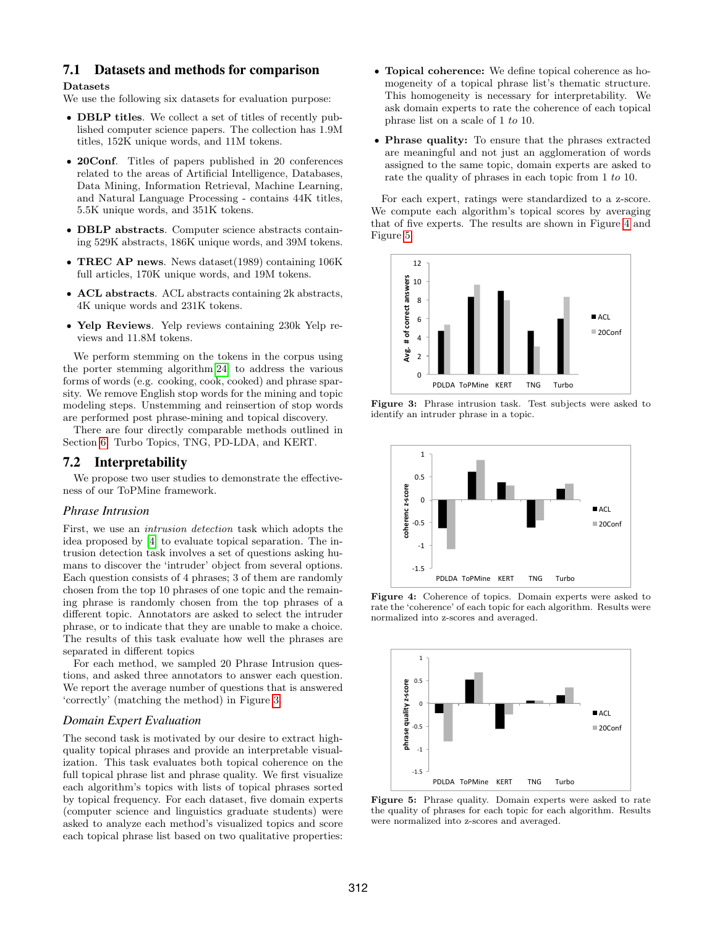# 7.1 Datasets and methods for comparison

#### Datasets

We use the following six datasets for evaluation purpose:

- ' DBLP titles. We collect a set of titles of recently published computer science papers. The collection has 1.9M titles, 152K unique words, and 11M tokens.
- ' 20Conf. Titles of papers published in 20 conferences related to the areas of Artificial Intelligence, Databases, Data Mining, Information Retrieval, Machine Learning, and Natural Language Processing - contains 44K titles, 5.5K unique words, and 351K tokens.
- $\bullet$  DBLP abstracts. Computer science abstracts containing 529K abstracts, 186K unique words, and 39M tokens.
- TREC AP news. News dataset (1989) containing 106K full articles, 170K unique words, and 19M tokens.
- ' ACL abstracts. ACL abstracts containing 2k abstracts, 4K unique words and 231K tokens.
- ' Yelp Reviews. Yelp reviews containing 230k Yelp reviews and 11.8M tokens.

We perform stemming on the tokens in the corpus using the porter stemming algorithm[\[24\]](#page-11-25) to address the various forms of words (e.g. cooking, cook, cooked) and phrase sparsity. We remove English stop words for the mining and topic modeling steps. Unstemming and reinsertion of stop words are performed post phrase-mining and topical discovery.

There are four directly comparable methods outlined in Section [6:](#page-6-0) Turbo Topics, TNG, PD-LDA, and KERT.

#### 7.2 Interpretability

We propose two user studies to demonstrate the effectiveness of our ToPMine framework.

#### *Phrase Intrusion*

First, we use an intrusion detection task which adopts the idea proposed by [\[4\]](#page-11-0) to evaluate topical separation. The intrusion detection task involves a set of questions asking humans to discover the 'intruder' object from several options. Each question consists of 4 phrases; 3 of them are randomly chosen from the top 10 phrases of one topic and the remaining phrase is randomly chosen from the top phrases of a different topic. Annotators are asked to select the intruder phrase, or to indicate that they are unable to make a choice. The results of this task evaluate how well the phrases are separated in different topics

For each method, we sampled 20 Phrase Intrusion questions, and asked three annotators to answer each question. We report the average number of questions that is answered 'correctly' (matching the method) in Figure [3.](#page-7-0)

#### *Domain Expert Evaluation*

The second task is motivated by our desire to extract highquality topical phrases and provide an interpretable visualization. This task evaluates both topical coherence on the full topical phrase list and phrase quality. We first visualize each algorithm's topics with lists of topical phrases sorted by topical frequency. For each dataset, five domain experts (computer science and linguistics graduate students) were asked to analyze each method's visualized topics and score each topical phrase list based on two qualitative properties:

- ' Topical coherence: We define topical coherence as homogeneity of a topical phrase list's thematic structure. This homogeneity is necessary for interpretability. We ask domain experts to rate the coherence of each topical phrase list on a scale of 1 to 10.
- ' Phrase quality: To ensure that the phrases extracted are meaningful and not just an agglomeration of words assigned to the same topic, domain experts are asked to rate the quality of phrases in each topic from 1 to 10.

For each expert, ratings were standardized to a z-score. We compute each algorithm's topical scores by averaging that of five experts. The results are shown in Figure [4](#page-7-1) and Figure [5.](#page-7-2)

<span id="page-7-0"></span>

Figure 3: Phrase intrusion task. Test subjects were asked to identify an intruder phrase in a topic.

<span id="page-7-1"></span>

Figure 4: Coherence of topics. Domain experts were asked to rate the 'coherence' of each topic for each algorithm. Results were normalized into z-scores and averaged.

<span id="page-7-2"></span>

Figure 5: Phrase quality. Domain experts were asked to rate the quality of phrases for each topic for each algorithm. Results were normalized into z-scores and averaged.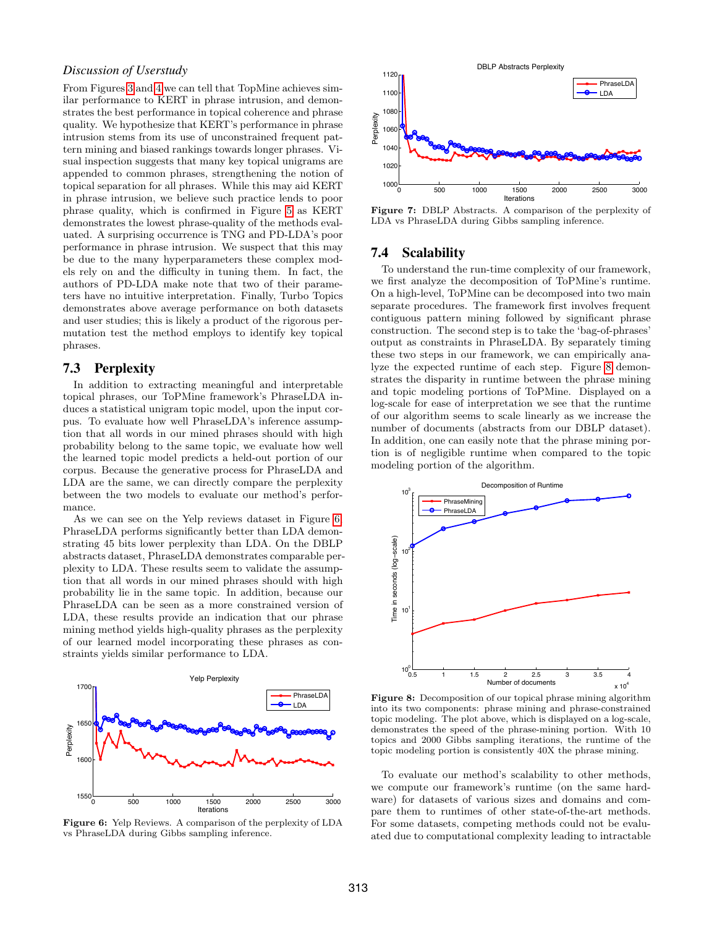# *Discussion of Userstudy*

From Figures [3](#page-7-0) and [4](#page-7-1) we can tell that TopMine achieves similar performance to KERT in phrase intrusion, and demonstrates the best performance in topical coherence and phrase quality. We hypothesize that KERT's performance in phrase intrusion stems from its use of unconstrained frequent pattern mining and biased rankings towards longer phrases. Visual inspection suggests that many key topical unigrams are appended to common phrases, strengthening the notion of topical separation for all phrases. While this may aid KERT in phrase intrusion, we believe such practice lends to poor phrase quality, which is confirmed in Figure [5](#page-7-2) as KERT demonstrates the lowest phrase-quality of the methods evaluated. A surprising occurrence is TNG and PD-LDA's poor performance in phrase intrusion. We suspect that this may be due to the many hyperparameters these complex models rely on and the difficulty in tuning them. In fact, the authors of PD-LDA make note that two of their parameters have no intuitive interpretation. Finally, Turbo Topics demonstrates above average performance on both datasets and user studies; this is likely a product of the rigorous permutation test the method employs to identify key topical phrases.

# 7.3 Perplexity

In addition to extracting meaningful and interpretable topical phrases, our ToPMine framework's PhraseLDA induces a statistical unigram topic model, upon the input corpus. To evaluate how well PhraseLDA's inference assumption that all words in our mined phrases should with high probability belong to the same topic, we evaluate how well the learned topic model predicts a held-out portion of our corpus. Because the generative process for PhraseLDA and LDA are the same, we can directly compare the perplexity between the two models to evaluate our method's performance.

As we can see on the Yelp reviews dataset in Figure [6,](#page-8-0) PhraseLDA performs significantly better than LDA demonstrating 45 bits lower perplexity than LDA. On the DBLP abstracts dataset, PhraseLDA demonstrates comparable perplexity to LDA. These results seem to validate the assumption that all words in our mined phrases should with high probability lie in the same topic. In addition, because our PhraseLDA can be seen as a more constrained version of LDA, these results provide an indication that our phrase mining method yields high-quality phrases as the perplexity of our learned model incorporating these phrases as constraints yields similar performance to LDA.

<span id="page-8-0"></span>

vs PhraseLDA during Gibbs sampling inference. Figure 6: Yelp Reviews. A comparison of the perplexity of LDA



Figure 7: DBLP Abstracts. A comparison of the perplexity of LDA vs PhraseLDA during Gibbs sampling inference.

#### 7.4 Scalability

To understand the run-time complexity of our framework, we first analyze the decomposition of ToPMine's runtime. On a high-level, ToPMine can be decomposed into two main separate procedures. The framework first involves frequent contiguous pattern mining followed by significant phrase construction. The second step is to take the 'bag-of-phrases' output as constraints in PhraseLDA. By separately timing these two steps in our framework, we can empirically analyze the expected runtime of each step. Figure [8](#page-8-1) demonstrates the disparity in runtime between the phrase mining and topic modeling portions of ToPMine. Displayed on a log-scale for ease of interpretation we see that the runtime of our algorithm seems to scale linearly as we increase the number of documents (abstracts from our DBLP dataset). In addition, one can easily note that the phrase mining portion is of negligible runtime when compared to the topic modeling portion of the algorithm.

<span id="page-8-1"></span>

Figure 8: Decomposition of our topical phrase mining algorithm into its two components: phrase mining and phrase-constrained topic modeling. The plot above, which is displayed on a log-scale, demonstrates the speed of the phrase-mining portion. With 10 topics and 2000 Gibbs sampling iterations, the runtime of the topic modeling portion is consistently 40X the phrase mining.

To evaluate our method's scalability to other methods, we compute our framework's runtime (on the same hardware) for datasets of various sizes and domains and compare them to runtimes of other state-of-the-art methods. For some datasets, competing methods could not be evaluated due to computational complexity leading to intractable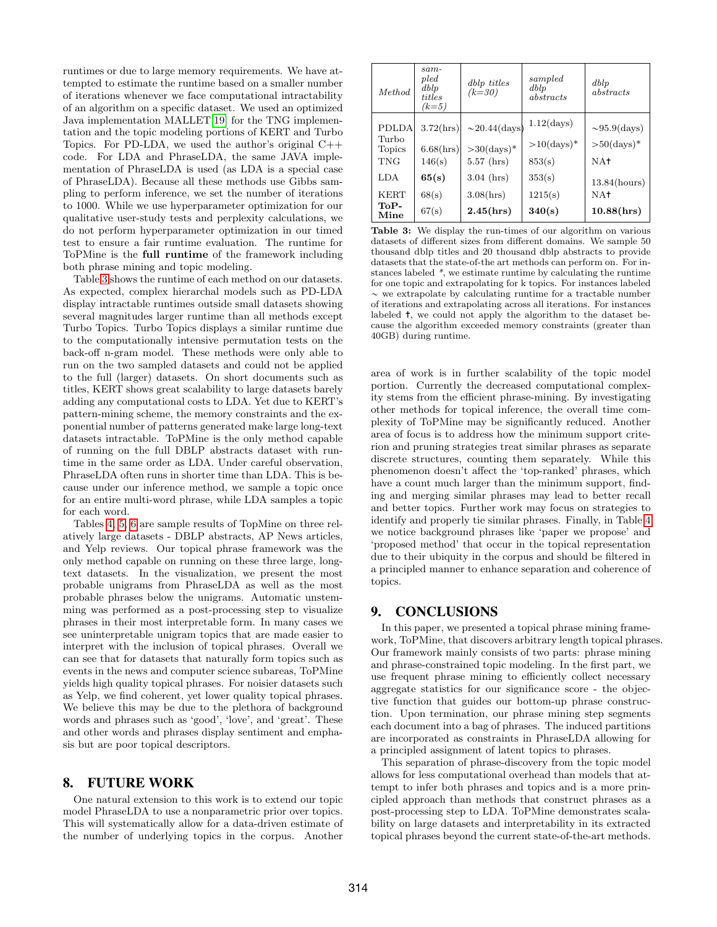runtimes or due to large memory requirements. We have attempted to estimate the runtime based on a smaller number of iterations whenever we face computational intractability of an algorithm on a specific dataset. We used an optimized Java implementation MALLET[\[19\]](#page-11-26) for the TNG implementation and the topic modeling portions of KERT and Turbo Topics. For PD-LDA, we used the author's original C++ code. For LDA and PhraseLDA, the same JAVA implementation of PhraseLDA is used (as LDA is a special case of PhraseLDA). Because all these methods use Gibbs sampling to perform inference, we set the number of iterations to 1000. While we use hyperparameter optimization for our qualitative user-study tests and perplexity calculations, we do not perform hyperparameter optimization in our timed test to ensure a fair runtime evaluation. The runtime for ToPMine is the full runtime of the framework including both phrase mining and topic modeling.

Table [3](#page-9-1) shows the runtime of each method on our datasets. As expected, complex hierarchal models such as PD-LDA display intractable runtimes outside small datasets showing several magnitudes larger runtime than all methods except Turbo Topics. Turbo Topics displays a similar runtime due to the computationally intensive permutation tests on the back-off n-gram model. These methods were only able to run on the two sampled datasets and could not be applied to the full (larger) datasets. On short documents such as titles, KERT shows great scalability to large datasets barely adding any computational costs to LDA. Yet due to KERT's pattern-mining scheme, the memory constraints and the exponential number of patterns generated make large long-text datasets intractable. ToPMine is the only method capable of running on the full DBLP abstracts dataset with runtime in the same order as LDA. Under careful observation, PhraseLDA often runs in shorter time than LDA. This is because under our inference method, we sample a topic once for an entire multi-word phrase, while LDA samples a topic for each word.

Tables [4,](#page-10-0) [5,](#page-10-1) [6](#page-10-2) are sample results of TopMine on three relatively large datasets - DBLP abstracts, AP News articles, and Yelp reviews. Our topical phrase framework was the only method capable on running on these three large, longtext datasets. In the visualization, we present the most probable unigrams from PhraseLDA as well as the most probable phrases below the unigrams. Automatic unstemming was performed as a post-processing step to visualize phrases in their most interpretable form. In many cases we see uninterpretable unigram topics that are made easier to interpret with the inclusion of topical phrases. Overall we can see that for datasets that naturally form topics such as events in the news and computer science subareas, ToPMine yields high quality topical phrases. For noisier datasets such as Yelp, we find coherent, yet lower quality topical phrases. We believe this may be due to the plethora of background words and phrases such as 'good', 'love', and 'great'. These and other words and phrases display sentiment and emphasis but are poor topical descriptors.

## 8. FUTURE WORK

One natural extension to this work is to extend our topic model PhraseLDA to use a nonparametric prior over topics. This will systematically allow for a data-driven estimate of the number of underlying topics in the corpus. Another

<span id="page-9-1"></span>

| <i>Method</i>                                 | $sam-$<br>$_{pled}$<br>dblp<br>titles<br>$(k=5)$ | dblp titles<br>$(k=30)$                                     | sampled<br>dblp<br>abstracts                                | dblp<br>abstracts                                    |
|-----------------------------------------------|--------------------------------------------------|-------------------------------------------------------------|-------------------------------------------------------------|------------------------------------------------------|
| <b>PDLDA</b><br>Turbo<br>Topics<br><b>TNG</b> | 3.72(hrs)<br>6.68(hrs)<br>146(s)                 | $\sim$ 20.44(days)<br>$>30 \text{(days)}$ *<br>$5.57$ (hrs) | $1.12 \text{(days)}$<br>$>10$ (days) <sup>*</sup><br>853(s) | $\sim 95.9$ (days)<br>$>50 \text{(days)}$ *<br>$NA+$ |
| LDA<br><b>KERT</b><br>ToP-<br>Mine            | 65(s)<br>68(s)<br>67(s)                          | $3.04$ (hrs)<br>3.08(hrs)<br>2.45(hrs)                      | 353(s)<br>1215(s)<br>340(s)                                 | $13.84$ (hours)<br>$NA+$<br>10.88(hrs)               |

Table 3: We display the run-times of our algorithm on various datasets of different sizes from different domains. We sample 50 thousand dblp titles and 20 thousand dblp abstracts to provide datasets that the state-of-the art methods can perform on. For instances labeled \*, we estimate runtime by calculating the runtime for one topic and extrapolating for k topics. For instances labeled  $\sim$  we extrapolate by calculating runtime for a tractable number of iterations and extrapolating across all iterations. For instances labeled ✝, we could not apply the algorithm to the dataset because the algorithm exceeded memory constraints (greater than 40GB) during runtime.

area of work is in further scalability of the topic model portion. Currently the decreased computational complexity stems from the efficient phrase-mining. By investigating other methods for topical inference, the overall time complexity of ToPMine may be significantly reduced. Another area of focus is to address how the minimum support criterion and pruning strategies treat similar phrases as separate discrete structures, counting them separately. While this phenomenon doesn't affect the 'top-ranked' phrases, which have a count much larger than the minimum support, finding and merging similar phrases may lead to better recall and better topics. Further work may focus on strategies to identify and properly tie similar phrases. Finally, in Table [4](#page-10-0) we notice background phrases like 'paper we propose' and 'proposed method' that occur in the topical representation due to their ubiquity in the corpus and should be filtered in a principled manner to enhance separation and coherence of topics.

# <span id="page-9-0"></span>9. CONCLUSIONS

In this paper, we presented a topical phrase mining framework, ToPMine, that discovers arbitrary length topical phrases. Our framework mainly consists of two parts: phrase mining and phrase-constrained topic modeling. In the first part, we use frequent phrase mining to efficiently collect necessary aggregate statistics for our significance score - the objective function that guides our bottom-up phrase construction. Upon termination, our phrase mining step segments each document into a bag of phrases. The induced partitions are incorporated as constraints in PhraseLDA allowing for a principled assignment of latent topics to phrases.

This separation of phrase-discovery from the topic model allows for less computational overhead than models that attempt to infer both phrases and topics and is a more principled approach than methods that construct phrases as a post-processing step to LDA. ToPMine demonstrates scalability on large datasets and interpretability in its extracted topical phrases beyond the current state-of-the-art methods.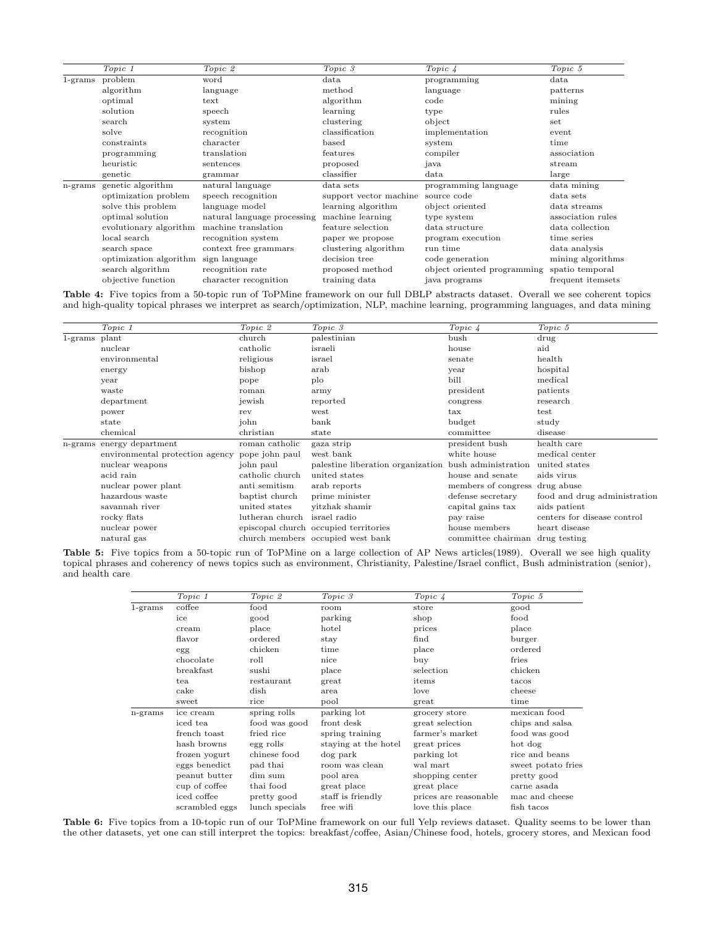<span id="page-10-0"></span>

|            | Topic 1                | Topic 2                     | Topic 3                | Topic 4                                     | Topic 5                     |
|------------|------------------------|-----------------------------|------------------------|---------------------------------------------|-----------------------------|
| $1$ -grams | problem                | word                        | data                   | programming                                 | data                        |
|            | algorithm              | language                    | method                 | language                                    | patterns                    |
|            | optimal                | $text{text}$                | algorithm              | code                                        | mining                      |
|            | solution               | speech                      | learning               | type                                        | rules                       |
|            | search                 | system                      | clustering             | object                                      | $\mathop{\rm set}\nolimits$ |
|            | solve                  | recognition                 | classification         | implementation                              | event                       |
|            | constraints            | character                   | based                  | system                                      | time                        |
|            | programming            | translation                 | features               | compiler                                    | association                 |
|            | heuristic              | sentences                   | proposed               | java                                        | stream                      |
|            | genetic                | grammar                     | classifier             | data                                        | large                       |
| n-grams    | genetic algorithm      | natural language            | data sets              | programming language                        | data mining                 |
|            | optimization problem   | speech recognition          | support vector machine | source code                                 | data sets                   |
|            | solve this problem     | language model              | learning algorithm     | object oriented                             | data streams                |
|            | optimal solution       | natural language processing | machine learning       | type system                                 | association rules           |
|            | evolutionary algorithm | machine translation         | feature selection      | data structure                              | data collection             |
|            | local search           | recognition system          | paper we propose       | program execution                           | time series                 |
|            | search space           | context free grammars       | clustering algorithm   | run time                                    | data analysis               |
|            | optimization algorithm | sign language               | decision tree          | code generation                             | mining algorithms           |
|            | search algorithm       | recognition rate            | proposed method        | object oriented programming spatio temporal |                             |
|            | objective function     | character recognition       | training data          | java programs                               | frequent itemsets           |

Table 4: Five topics from a 50-topic run of ToPMine framework on our full DBLP abstracts dataset. Overall we see coherent topics and high-quality topical phrases we interpret as search/optimization, NLP, machine learning, programming languages, and data mining

<span id="page-10-1"></span>

|            | Topic 1                         | Topic 2         | Topic 3                                               | Topic 4                        | Topic 5                      |
|------------|---------------------------------|-----------------|-------------------------------------------------------|--------------------------------|------------------------------|
| $1$ -grams | plant                           | church          | palestinian                                           | bush                           | drug                         |
|            | nuclear                         | catholic        | israeli                                               | house                          | aid                          |
|            | environmental                   | religious       | israel                                                | senate                         | health                       |
|            | energy                          | bishop          | arab                                                  | year                           | hospital                     |
|            | year                            | pope            | plo                                                   | bill                           | medical                      |
|            | waste                           | roman           | army                                                  | president                      | patients                     |
|            | department                      | jewish          | reported                                              | congress                       | research                     |
|            | power                           | rev             | west                                                  | $\operatorname{tax}$           | test                         |
|            | state                           | john            | bank                                                  | budget                         | study                        |
|            | chemical                        | christian       | state                                                 | committee                      | disease                      |
| n-grams    | energy department               | roman catholic  | gaza strip                                            | president bush                 | health care                  |
|            | environmental protection agency | pope john paul  | west bank                                             | white house                    | medical center               |
|            | nuclear weapons                 | john paul       | palestine liberation organization bush administration |                                | united states                |
|            | acid rain                       | catholic church | united states                                         | house and senate               | aids virus                   |
|            | nuclear power plant             | anti semitism   | arab reports                                          | members of congress drug abuse |                              |
|            | hazardous waste                 | baptist church  | prime minister                                        | defense secretary              | food and drug administration |
|            | savannah river                  | united states   | vitzhak shamir                                        | capital gains tax              | aids patient                 |
|            | rocky flats                     | lutheran church | israel radio                                          | pay raise                      | centers for disease control  |
|            | nuclear power                   |                 | episcopal church occupied territories                 | house members                  | heart disease                |
|            | natural gas                     |                 | church members occupied west bank                     | committee chairman             | drug testing                 |
|            |                                 |                 |                                                       |                                |                              |

<span id="page-10-2"></span>Table 5: Five topics from a 50-topic run of ToPMine on a large collection of AP News articles(1989). Overall we see high quality topical phrases and coherency of news topics such as environment, Christianity, Palestine/Israel conflict, Bush administration (senior), and health care

|            | Topic $1$      | Topic 2        | Topic 3              | Topic 4               | Topic 5            |
|------------|----------------|----------------|----------------------|-----------------------|--------------------|
| $1$ -grams | coffee         | food           | room                 | store                 | good               |
|            | ice            | good           | parking              | shop                  | food               |
|            | cream          | place          | hotel                | prices                | place              |
|            | flavor         | ordered        | stay                 | find                  | burger             |
|            | egg            | chicken        | time                 | place                 | ordered            |
|            | chocolate      | roll           | nice                 | buy                   | fries              |
|            | breakfast      | sushi          | place                | selection             | chicken            |
|            | tea            | restaurant     | great                | items                 | tacos              |
|            | cake           | dish           | area                 | love                  | cheese             |
|            | sweet          | rice           | pool                 | great                 | time               |
| n-grams    | ice cream      | spring rolls   | parking lot          | grocery store         | mexican food       |
|            | iced tea       | food was good  | front desk           | great selection       | chips and salsa    |
|            | french toast   | fried rice     | spring training      | farmer's market       | food was good      |
|            | hash browns    | egg rolls      | staying at the hotel | great prices          | hot dog            |
|            | frozen yogurt  | chinese food   | dog park             | parking lot           | rice and beans     |
|            | eggs benedict  | pad thai       | room was clean       | wal mart              | sweet potato fries |
|            | peanut butter  | dim sum        | pool area            | shopping center       | pretty good        |
|            | cup of coffee  | thai food      | great place          | great place           | carne asada        |
|            | iced coffee    | pretty good    | staff is friendly    | prices are reasonable | mac and cheese     |
|            | scrambled eggs | lunch specials | free wifi            | love this place       | fish tacos         |

Table 6: Five topics from a 10-topic run of our ToPMine framework on our full Yelp reviews dataset. Quality seems to be lower than the other datasets, yet one can still interpret the topics: breakfast/coffee, Asian/Chinese food, hotels, grocery stores, and Mexican food